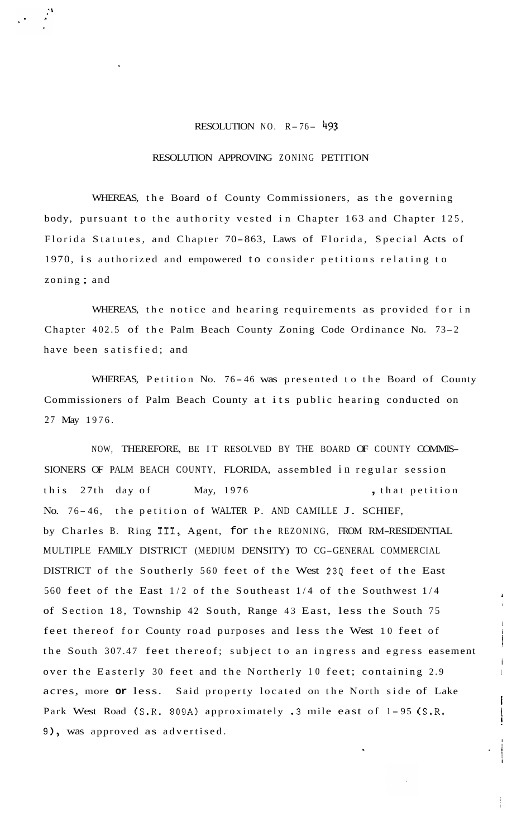## RESOLUTION NO.  $R-76-\frac{493}{1}$

## RESOLUTION APPROVING ZONING PETITION

WHEREAS, the Board of County Commissioners, as the governing body, pursuant to the authority vested in Chapter 163 and Chapter 125, Florida Statutes, and Chapter 70-863, Laws of Florida, Special Acts of 1970, is authorized and empowered to consider petitions relating to zoning ; and

WHEREAS, the notice and hearing requirements as provided for in Chapter 402.5 of the Palm Beach County Zoning Code Ordinance No. 73-2 have been satisfied; and

WHEREAS, Petition No. 76-46 was presented to the Board of County Commissioners of Palm Beach County at its public hearing conducted on 27 May 1976.

NOW, THEREFORE, BE IT RESOLVED BY THE BOARD OF COUNTY COMMIS-SIONERS OF PALM BEACH COUNTY, FLORIDA, assembled in regular session this 27th day of May, 1976 **,** that petition No. 76-46, the petition of WALTER P. AND CAMILLE J. SCHIEF, by Charles B. Ring 111, Agent, for the REZONING, FROM RM-RESIDENTIAL MULTIPLE FAMILY DISTRICT (MEDIUM DENSITY) TO CG-GENERAL COMMERCIAL DISTRICT of the Southerly 560 feet of the West 234 feet of the East 560 feet of the East 1/2 of the Southeast 1/4 of the Southwest 1/4 <sup>1</sup> of Section 18, Township 42 South, Range 43 East, less the South 75 feet thereof for County road purposes and less the West 10 feet of the South 307.47 feet thereof; subject to an ingress and egress easement over the Easterly 30 feet and the Northerly 10 feet; containing 2.9 acres, more **or** less. Said property located on the North side of Lake Park West Road (S.R. 809A) approximately .3 mile east of 1-95 (S.R. **91,** was approved as advertised.

i

I

i

I ! ! **i**   $\cdot$  if

I

I i I